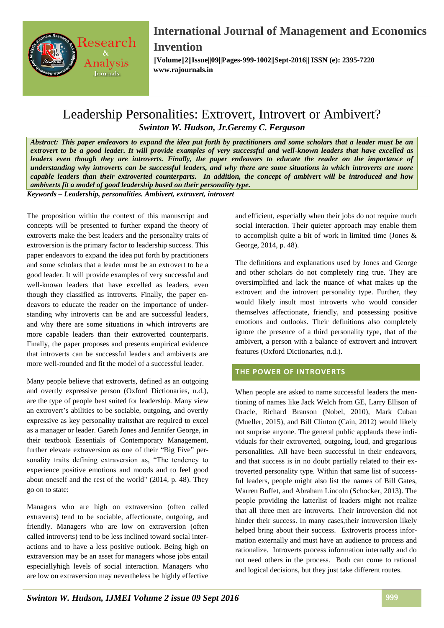

**||Volume||2||Issue||09||Pages-999-1002||Sept-2016|| ISSN (e): 2395-7220 www.rajournals.in**

## Leadership Personalities: Extrovert, Introvert or Ambivert? *Swinton W. Hudson, Jr.Geremy C. Ferguson*

*Abstract: This paper endeavors to expand the idea put forth by practitioners and some scholars that a leader must be an extrovert to be a good leader. It will provide examples of very successful and well-known leaders that have excelled as leaders even though they are introverts. Finally, the paper endeavors to educate the reader on the importance of understanding why introverts can be successful leaders, and why there are some situations in which introverts are more capable leaders than their extroverted counterparts. In addition, the concept of ambivert will be introduced and how ambiverts fit a model of good leadership based on their personality type.* 

*Keywords – Leadership, personalities. Ambivert, extravert, introvert*

The proposition within the context of this manuscript and concepts will be presented to further expand the theory of extroverts make the best leaders and the personality traits of extroversion is the primary factor to leadership success. This paper endeavors to expand the idea put forth by practitioners and some scholars that a leader must be an extrovert to be a good leader. It will provide examples of very successful and well-known leaders that have excelled as leaders, even though they classified as introverts. Finally, the paper endeavors to educate the reader on the importance of understanding why introverts can be and are successful leaders, and why there are some situations in which introverts are more capable leaders than their extroverted counterparts. Finally, the paper proposes and presents empirical evidence that introverts can be successful leaders and ambiverts are more well-rounded and fit the model of a successful leader.

Many people believe that extroverts, defined as an outgoing and overtly expressive person (Oxford Dictionaries, n.d.), are the type of people best suited for leadership. Many view an extrovert's abilities to be sociable, outgoing, and overtly expressive as key personality traitsthat are required to excel as a manager or leader. Gareth Jones and Jennifer George, in their textbook Essentials of Contemporary Management, further elevate extraversion as one of their "Big Five" personality traits defining extraversion as, "The tendency to experience positive emotions and moods and to feel good about oneself and the rest of the world" (2014, p. 48). They go on to state:

Managers who are high on extraversion (often called extraverts) tend to be sociable, affectionate, outgoing, and friendly. Managers who are low on extraversion (often called introverts) tend to be less inclined toward social interactions and to have a less positive outlook. Being high on extraversion may be an asset for managers whose jobs entail especiallyhigh levels of social interaction. Managers who are low on extraversion may nevertheless be highly effective

and efficient, especially when their jobs do not require much social interaction. Their quieter approach may enable them to accomplish quite a bit of work in limited time (Jones & George, 2014, p. 48).

The definitions and explanations used by Jones and George and other scholars do not completely ring true. They are oversimplified and lack the nuance of what makes up the extrovert and the introvert personality type. Further, they would likely insult most introverts who would consider themselves affectionate, friendly, and possessing positive emotions and outlooks. Their definitions also completely ignore the presence of a third personality type, that of the ambivert, a person with a balance of extrovert and introvert features (Oxford Dictionaries, n.d.).

### **THE POWER OF INTROVERTS**

When people are asked to name successful leaders the mentioning of names like Jack Welch from GE, Larry Ellison of Oracle, Richard Branson (Nobel, 2010), Mark Cuban (Mueller, 2015), and Bill Clinton (Cain, 2012) would likely not surprise anyone. The general public applauds these individuals for their extroverted, outgoing, loud, and gregarious personalities. All have been successful in their endeavors, and that success is in no doubt partially related to their extroverted personality type. Within that same list of successful leaders, people might also list the names of Bill Gates, Warren Buffet, and Abraham Lincoln (Schocker, 2013). The people providing the latterlist of leaders might not realize that all three men are introverts. Their introversion did not hinder their success. In many cases,their introversion likely helped bring about their success. Extroverts process information externally and must have an audience to process and rationalize. Introverts process information internally and do not need others in the process. Both can come to rational and logical decisions, but they just take different routes.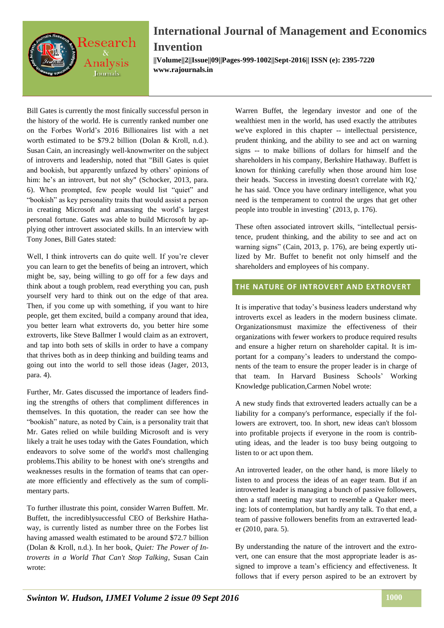

**||Volume||2||Issue||09||Pages-999-1002||Sept-2016|| ISSN (e): 2395-7220 www.rajournals.in**

Bill Gates is currently the most finically successful person in the history of the world. He is currently ranked number one on the Forbes World's 2016 Billionaires list with a net worth estimated to be \$79.2 billion (Dolan & Kroll, n.d.). Susan Cain, an increasingly well-knownwriter on the subject of introverts and leadership, noted that "Bill Gates is quiet and bookish, but apparently unfazed by others' opinions of him: he's an introvert, but not shy" (Schocker, 2013, para. 6). When prompted, few people would list "quiet" and "bookish" as key personality traits that would assist a person in creating Microsoft and amassing the world's largest personal fortune. Gates was able to build Microsoft by applying other introvert associated skills. In an interview with Tony Jones, Bill Gates stated:

Well, I think introverts can do quite well. If you're clever you can learn to get the benefits of being an introvert, which might be, say, being willing to go off for a few days and think about a tough problem, read everything you can, push yourself very hard to think out on the edge of that area. Then, if you come up with something, if you want to hire people, get them excited, build a company around that idea, you better learn what extroverts do, you better hire some extroverts, like Steve Ballmer I would claim as an extrovert, and tap into both sets of skills in order to have a company that thrives both as in deep thinking and building teams and going out into the world to sell those ideas (Jager, 2013, para. 4).

Further, Mr. Gates discussed the importance of leaders finding the strengths of others that compliment differences in themselves. In this quotation, the reader can see how the "bookish" nature, as noted by Cain, is a personality trait that Mr. Gates relied on while building Microsoft and is very likely a trait he uses today with the Gates Foundation, which endeavors to solve some of the world's most challenging problems.This ability to be honest with one's strengths and weaknesses results in the formation of teams that can operate more efficiently and effectively as the sum of complimentary parts.

To further illustrate this point, consider Warren Buffett. Mr. Buffett, the incrediblysuccessful CEO of Berkshire Hathaway, is currently listed as number three on the Forbes list having amassed wealth estimated to be around \$72.7 billion (Dolan & Kroll, n.d.). In her book, *Quiet: The Power of Introverts in a World That Can't Stop Talking*, Susan Cain wrote:

Warren Buffet, the legendary investor and one of the wealthiest men in the world, has used exactly the attributes we've explored in this chapter -- intellectual persistence, prudent thinking, and the ability to see and act on warning signs -- to make billions of dollars for himself and the shareholders in his company, Berkshire Hathaway. Buffett is known for thinking carefully when those around him lose their heads. 'Success in investing doesn't correlate with IQ,' he has said. 'Once you have ordinary intelligence, what you need is the temperament to control the urges that get other people into trouble in investing' (2013, p. 176).

These often associated introvert skills, "intellectual persistence, prudent thinking, and the ability to see and act on warning signs" (Cain, 2013, p. 176), are being expertly utilized by Mr. Buffet to benefit not only himself and the shareholders and employees of his company.

### **THE NATURE OF INTROVERT AND EXTROVERT**

It is imperative that today's business leaders understand why introverts excel as leaders in the modern business climate. Organizationsmust maximize the effectiveness of their organizations with fewer workers to produce required results and ensure a higher return on shareholder capital. It is important for a company's leaders to understand the components of the team to ensure the proper leader is in charge of that team. In Harvard Business Schools' Working Knowledge publication,Carmen Nobel wrote:

A new study finds that extroverted leaders actually can be a liability for a company's performance, especially if the followers are extrovert, too. In short, new ideas can't blossom into profitable projects if everyone in the room is contributing ideas, and the leader is too busy being outgoing to listen to or act upon them.

An introverted leader, on the other hand, is more likely to listen to and process the ideas of an eager team. But if an introverted leader is managing a bunch of passive followers, then a staff meeting may start to resemble a Quaker meeting: lots of contemplation, but hardly any talk. To that end, a team of passive followers benefits from an extraverted leader (2010, para. 5).

By understanding the nature of the introvert and the extrovert, one can ensure that the most appropriate leader is assigned to improve a team's efficiency and effectiveness. It follows that if every person aspired to be an extrovert by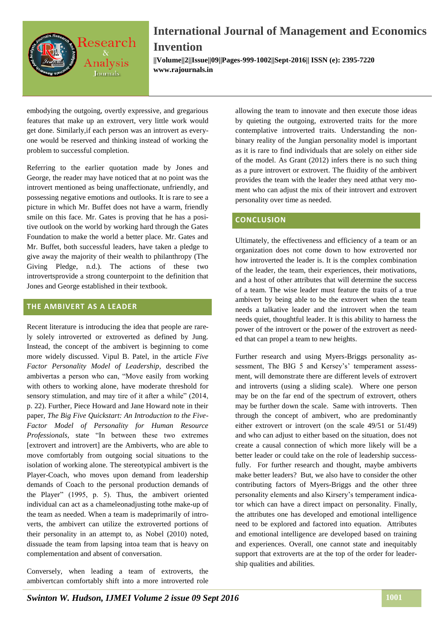

**||Volume||2||Issue||09||Pages-999-1002||Sept-2016|| ISSN (e): 2395-7220 www.rajournals.in**

embodying the outgoing, overtly expressive, and gregarious features that make up an extrovert, very little work would get done. Similarly,if each person was an introvert as everyone would be reserved and thinking instead of working the problem to successful completion.

Referring to the earlier quotation made by Jones and George, the reader may have noticed that at no point was the introvert mentioned as being unaffectionate, unfriendly, and possessing negative emotions and outlooks. It is rare to see a picture in which Mr. Buffet does not have a warm, friendly smile on this face. Mr. Gates is proving that he has a positive outlook on the world by working hard through the Gates Foundation to make the world a better place. Mr. Gates and Mr. Buffet, both successful leaders, have taken a pledge to give away the majority of their wealth to philanthropy (The Giving Pledge, n.d.). The actions of these two introvertsprovide a strong counterpoint to the definition that Jones and George established in their textbook.

#### **THE AMBIVERT AS A LEADER**

Recent literature is introducing the idea that people are rarely solely introverted or extroverted as defined by Jung. Instead, the concept of the ambivert is beginning to come more widely discussed. Vipul B. Patel, in the article *Five Factor Personality Model of Leadership*, described the ambivertas a person who can, "Move easily from working with others to working alone, have moderate threshold for sensory stimulation, and may tire of it after a while" (2014, p. 22). Further, Piece Howard and Jane Howard note in their paper, *The Big Five Quickstart: An Introduction to the Five-Factor Model of Personality for Human Resource Professionals*, state "In between these two extremes [extrovert and introvert] are the Ambiverts, who are able to move comfortably from outgoing social situations to the isolation of working alone. The stereotypical ambivert is the Player-Coach, who moves upon demand from leadership demands of Coach to the personal production demands of the Player" (1995, p. 5). Thus, the ambivert oriented individual can act as a chameleonadjusting tothe make-up of the team as needed. When a team is madeprimarily of introverts, the ambivert can utilize the extroverted portions of their personality in an attempt to, as Nobel (2010) noted, dissuade the team from lapsing intoa team that is heavy on complementation and absent of conversation.

Conversely, when leading a team of extroverts, the ambivertcan comfortably shift into a more introverted role

allowing the team to innovate and then execute those ideas by quieting the outgoing, extroverted traits for the more contemplative introverted traits. Understanding the nonbinary reality of the Jungian personality model is important as it is rare to find individuals that are solely on either side of the model. As Grant (2012) infers there is no such thing as a pure introvert or extrovert. The fluidity of the ambivert provides the team with the leader they need atthat very moment who can adjust the mix of their introvert and extrovert personality over time as needed.

#### **CONCLUSION**

Ultimately, the effectiveness and efficiency of a team or an organization does not come down to how extroverted nor how introverted the leader is. It is the complex combination of the leader, the team, their experiences, their motivations, and a host of other attributes that will determine the success of a team. The wise leader must feature the traits of a true ambivert by being able to be the extrovert when the team needs a talkative leader and the introvert when the team needs quiet, thoughtful leader. It is this ability to harness the power of the introvert or the power of the extrovert as needed that can propel a team to new heights.

Further research and using Myers-Briggs personality assessment, The BIG 5 and Kersey's' temperament assessment, will demonstrate there are different levels of extrovert and introverts (using a sliding scale). Where one person may be on the far end of the spectrum of extrovert, others may be further down the scale. Same with introverts. Then through the concept of ambivert, who are predominantly either extrovert or introvert (on the scale 49/51 or 51/49) and who can adjust to either based on the situation, does not create a causal connection of which more likely will be a better leader or could take on the role of leadership successfully. For further research and thought, maybe ambiverts make better leaders? But, we also have to consider the other contributing factors of Myers-Briggs and the other three personality elements and also Kirsery's temperament indicator which can have a direct impact on personality. Finally, the attributes one has developed and emotional intelligence need to be explored and factored into equation. Attributes and emotional intelligence are developed based on training and experiences. Overall, one cannot state and inequitably support that extroverts are at the top of the order for leadership qualities and abilities.